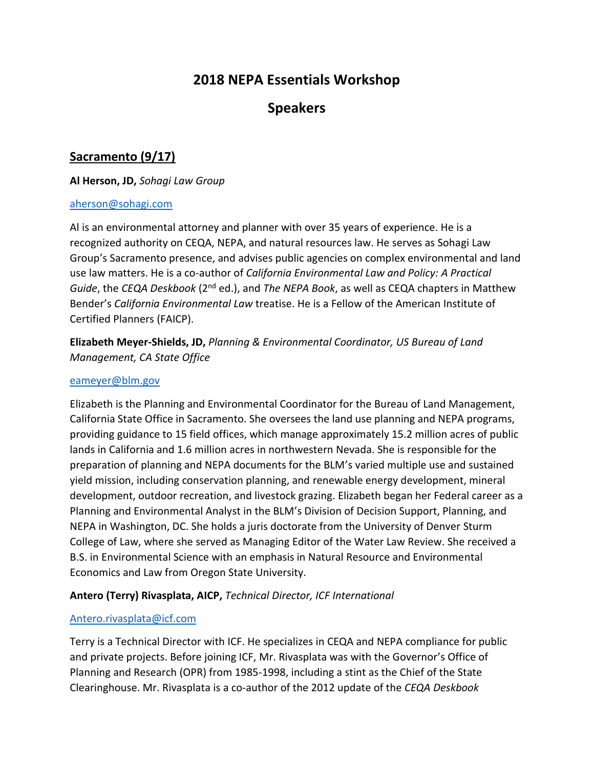# **2018 NEPA Essentials Workshop**

# **Speakers**

# **Sacramento (9/17)**

#### **Al Herson, JD,** *Sohagi Law Group*

#### [aherson@sohagi.com](mailto:aherson@sohagi.com)

Al is an environmental attorney and planner with over 35 years of experience. He is a recognized authority on CEQA, NEPA, and natural resources law. He serves as Sohagi Law Group's Sacramento presence, and advises public agencies on complex environmental and land use law matters. He is a co-author of *California Environmental Law and Policy: A Practical Guide*, the *CEQA Deskbook* (2nd ed.), and *The NEPA Book*, as well as CEQA chapters in Matthew Bender's *California Environmental Law* treatise. He is a Fellow of the American Institute of Certified Planners (FAICP).

**Elizabeth Meyer-Shields, JD,** *Planning & Environmental Coordinator, US Bureau of Land Management, CA State Office*

#### [eameyer@blm.gov](mailto:eameyer@blm.gov)

Elizabeth is the Planning and Environmental Coordinator for the Bureau of Land Management, California State Office in Sacramento. She oversees the land use planning and NEPA programs, providing guidance to 15 field offices, which manage approximately 15.2 million acres of public lands in California and 1.6 million acres in northwestern Nevada. She is responsible for the preparation of planning and NEPA documents for the BLM's varied multiple use and sustained yield mission, including conservation planning, and renewable energy development, mineral development, outdoor recreation, and livestock grazing. Elizabeth began her Federal career as a Planning and Environmental Analyst in the BLM's Division of Decision Support, Planning, and NEPA in Washington, DC. She holds a juris doctorate from the University of Denver Sturm College of Law, where she served as Managing Editor of the Water Law Review. She received a B.S. in Environmental Science with an emphasis in Natural Resource and Environmental Economics and Law from Oregon State University.

#### **Antero (Terry) Rivasplata, AICP,** *Technical Director, ICF International*

#### [Antero.rivasplata@icf.com](mailto:Antero.rivasplata@icf.com)

Terry is a Technical Director with ICF. He specializes in CEQA and NEPA compliance for public and private projects. Before joining ICF, Mr. Rivasplata was with the Governor's Office of Planning and Research (OPR) from 1985-1998, including a stint as the Chief of the State Clearinghouse. Mr. Rivasplata is a co-author of the 2012 update of the *CEQA Deskbook*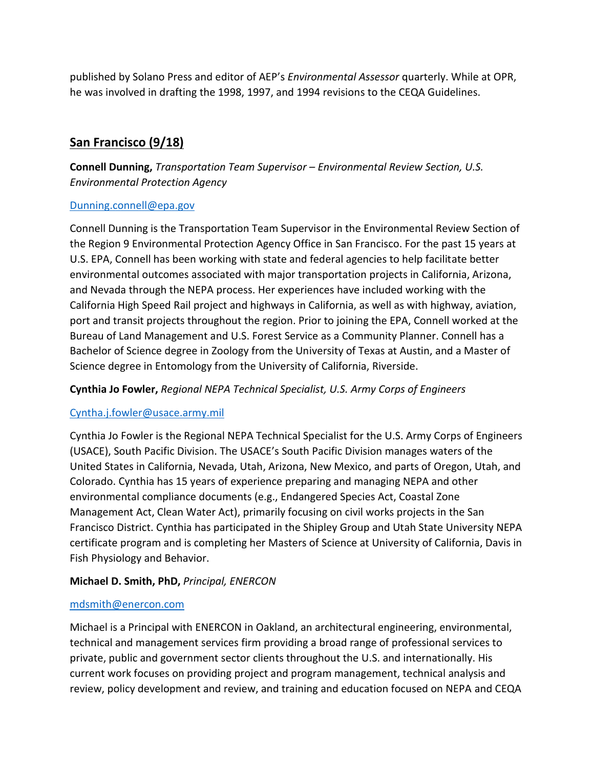published by Solano Press and editor of AEP's *Environmental Assessor* quarterly. While at OPR, he was involved in drafting the 1998, 1997, and 1994 revisions to the CEQA Guidelines.

# **San Francisco (9/18)**

**Connell Dunning,** *Transportation Team Supervisor – Environmental Review Section, U.S. Environmental Protection Agency*

#### [Dunning.connell@epa.gov](mailto:Dunning.connell@epa.gov)

Connell Dunning is the Transportation Team Supervisor in the Environmental Review Section of the Region 9 Environmental Protection Agency Office in San Francisco. For the past 15 years at U.S. EPA, Connell has been working with state and federal agencies to help facilitate better environmental outcomes associated with major transportation projects in California, Arizona, and Nevada through the NEPA process. Her experiences have included working with the California High Speed Rail project and highways in California, as well as with highway, aviation, port and transit projects throughout the region. Prior to joining the EPA, Connell worked at the Bureau of Land Management and U.S. Forest Service as a Community Planner. Connell has a Bachelor of Science degree in Zoology from the University of Texas at Austin, and a Master of Science degree in Entomology from the University of California, Riverside.

#### **Cynthia Jo Fowler,** *Regional NEPA Technical Specialist, U.S. Army Corps of Engineers*

#### [Cyntha.j.fowler@usace.army.mil](mailto:Cyntha.j.fowler@usace.army.mil)

Cynthia Jo Fowler is the Regional NEPA Technical Specialist for the U.S. Army Corps of Engineers (USACE), South Pacific Division. The USACE's South Pacific Division manages waters of the United States in California, Nevada, Utah, Arizona, New Mexico, and parts of Oregon, Utah, and Colorado. Cynthia has 15 years of experience preparing and managing NEPA and other environmental compliance documents (e.g., Endangered Species Act, Coastal Zone Management Act, Clean Water Act), primarily focusing on civil works projects in the San Francisco District. Cynthia has participated in the Shipley Group and Utah State University NEPA certificate program and is completing her Masters of Science at University of California, Davis in Fish Physiology and Behavior.

### **Michael D. Smith, PhD,** *Principal, ENERCON*

#### [mdsmith@enercon.com](mailto:mdsmith@enercon.com)

Michael is a Principal with ENERCON in Oakland, an architectural engineering, environmental, technical and management services firm providing a broad range of professional services to private, public and government sector clients throughout the U.S. and internationally. His current work focuses on providing project and program management, technical analysis and review, policy development and review, and training and education focused on NEPA and CEQA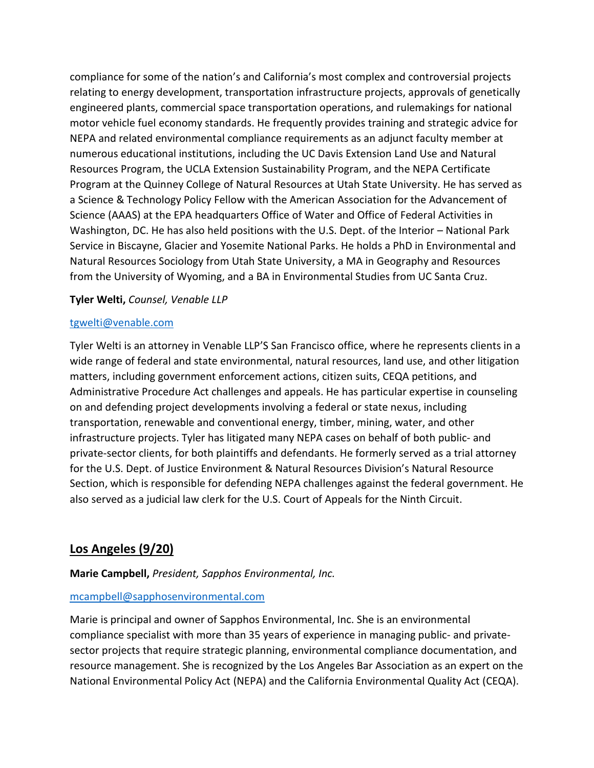compliance for some of the nation's and California's most complex and controversial projects relating to energy development, transportation infrastructure projects, approvals of genetically engineered plants, commercial space transportation operations, and rulemakings for national motor vehicle fuel economy standards. He frequently provides training and strategic advice for NEPA and related environmental compliance requirements as an adjunct faculty member at numerous educational institutions, including the UC Davis Extension Land Use and Natural Resources Program, the UCLA Extension Sustainability Program, and the NEPA Certificate Program at the Quinney College of Natural Resources at Utah State University. He has served as a Science & Technology Policy Fellow with the American Association for the Advancement of Science (AAAS) at the EPA headquarters Office of Water and Office of Federal Activities in Washington, DC. He has also held positions with the U.S. Dept. of the Interior – National Park Service in Biscayne, Glacier and Yosemite National Parks. He holds a PhD in Environmental and Natural Resources Sociology from Utah State University, a MA in Geography and Resources from the University of Wyoming, and a BA in Environmental Studies from UC Santa Cruz.

#### **Tyler Welti,** *Counsel, Venable LLP*

#### [tgwelti@venable.com](mailto:tgwelti@venable.com)

Tyler Welti is an attorney in Venable LLP'S San Francisco office, where he represents clients in a wide range of federal and state environmental, natural resources, land use, and other litigation matters, including government enforcement actions, citizen suits, CEQA petitions, and Administrative Procedure Act challenges and appeals. He has particular expertise in counseling on and defending project developments involving a federal or state nexus, including transportation, renewable and conventional energy, timber, mining, water, and other infrastructure projects. Tyler has litigated many NEPA cases on behalf of both public- and private-sector clients, for both plaintiffs and defendants. He formerly served as a trial attorney for the U.S. Dept. of Justice Environment & Natural Resources Division's Natural Resource Section, which is responsible for defending NEPA challenges against the federal government. He also served as a judicial law clerk for the U.S. Court of Appeals for the Ninth Circuit.

## **Los Angeles (9/20)**

#### **Marie Campbell,** *President, Sapphos Environmental, Inc.*

#### [mcampbell@sapphosenvironmental.com](mailto:mcampbell@sapphosenvironmental.com)

Marie is principal and owner of Sapphos Environmental, Inc. She is an environmental compliance specialist with more than 35 years of experience in managing public- and privatesector projects that require strategic planning, environmental compliance documentation, and resource management. She is recognized by the Los Angeles Bar Association as an expert on the National Environmental Policy Act (NEPA) and the California Environmental Quality Act (CEQA).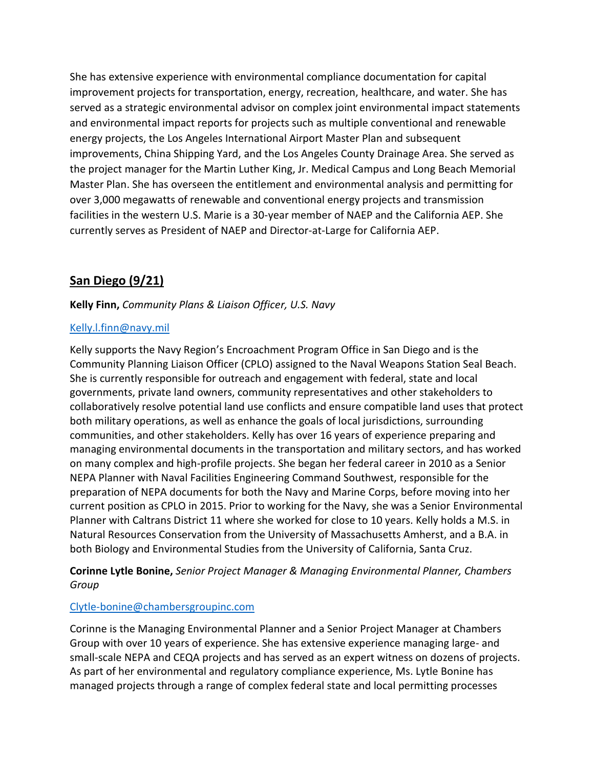She has extensive experience with environmental compliance documentation for capital improvement projects for transportation, energy, recreation, healthcare, and water. She has served as a strategic environmental advisor on complex joint environmental impact statements and environmental impact reports for projects such as multiple conventional and renewable energy projects, the Los Angeles International Airport Master Plan and subsequent improvements, China Shipping Yard, and the Los Angeles County Drainage Area. She served as the project manager for the Martin Luther King, Jr. Medical Campus and Long Beach Memorial Master Plan. She has overseen the entitlement and environmental analysis and permitting for over 3,000 megawatts of renewable and conventional energy projects and transmission facilities in the western U.S. Marie is a 30-year member of NAEP and the California AEP. She currently serves as President of NAEP and Director-at-Large for California AEP.

## **San Diego (9/21)**

#### **Kelly Finn,** *Community Plans & Liaison Officer, U.S. Navy*

#### [Kelly.l.finn@navy.mil](mailto:Kelly.l.finn@navy.mil)

Kelly supports the Navy Region's Encroachment Program Office in San Diego and is the Community Planning Liaison Officer (CPLO) assigned to the Naval Weapons Station Seal Beach. She is currently responsible for outreach and engagement with federal, state and local governments, private land owners, community representatives and other stakeholders to collaboratively resolve potential land use conflicts and ensure compatible land uses that protect both military operations, as well as enhance the goals of local jurisdictions, surrounding communities, and other stakeholders. Kelly has over 16 years of experience preparing and managing environmental documents in the transportation and military sectors, and has worked on many complex and high-profile projects. She began her federal career in 2010 as a Senior NEPA Planner with Naval Facilities Engineering Command Southwest, responsible for the preparation of NEPA documents for both the Navy and Marine Corps, before moving into her current position as CPLO in 2015. Prior to working for the Navy, she was a Senior Environmental Planner with Caltrans District 11 where she worked for close to 10 years. Kelly holds a M.S. in Natural Resources Conservation from the University of Massachusetts Amherst, and a B.A. in both Biology and Environmental Studies from the University of California, Santa Cruz.

**Corinne Lytle Bonine,** *Senior Project Manager & Managing Environmental Planner, Chambers Group*

#### [Clytle-bonine@chambersgroupinc.com](mailto:Clytle-bonine@chambersgroupinc.com)

Corinne is the Managing Environmental Planner and a Senior Project Manager at Chambers Group with over 10 years of experience. She has extensive experience managing large- and small-scale NEPA and CEQA projects and has served as an expert witness on dozens of projects. As part of her environmental and regulatory compliance experience, Ms. Lytle Bonine has managed projects through a range of complex federal state and local permitting processes